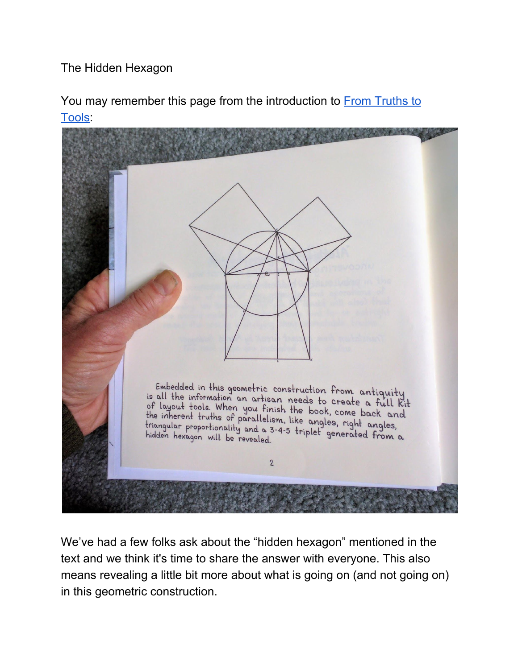The Hidden Hexagon

You may remember this page from the introduction to **From [Truths](https://lostartpress.com/products/from-truth-to-tools) to** [Tools](https://lostartpress.com/products/from-truth-to-tools):



We've had a few folks ask about the "hidden hexagon" mentioned in the text and we think it's time to share the answer with everyone. This also means revealing a little bit more about what is going on (and not going on) in this geometric construction.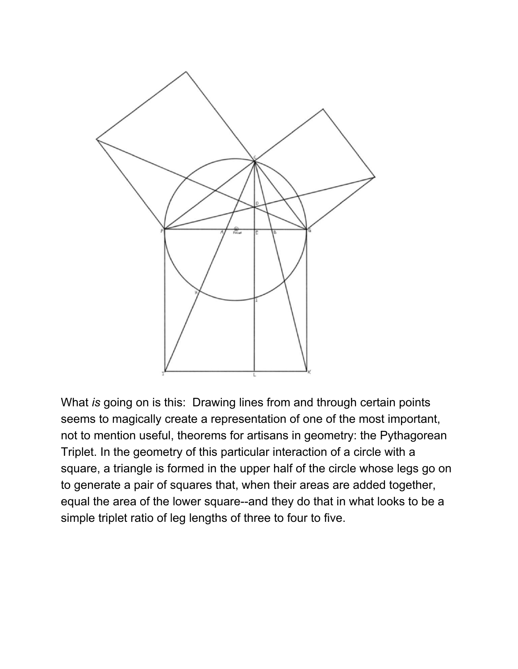

What *is* going on is this: Drawing lines from and through certain points seems to magically create a representation of one of the most important, not to mention useful, theorems for artisans in geometry: the Pythagorean Triplet. In the geometry of this particular interaction of a circle with a square, a triangle is formed in the upper half of the circle whose legs go on to generate a pair of squares that, when their areas are added together, equal the area of the lower square--and they do that in what looks to be a simple triplet ratio of leg lengths of three to four to five.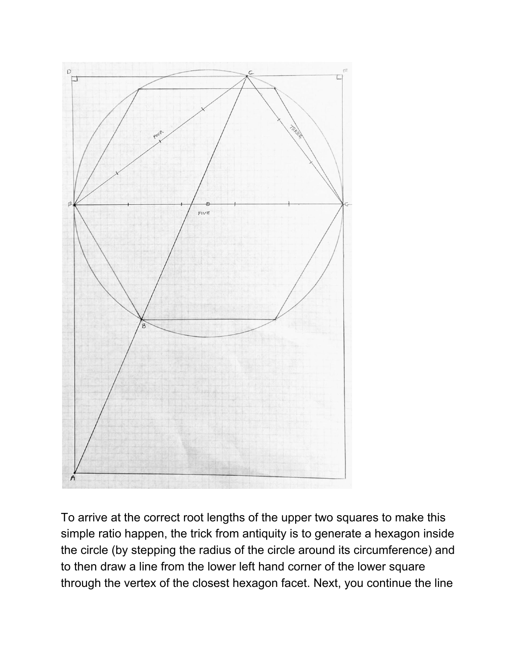

To arrive at the correct root lengths of the upper two squares to make this simple ratio happen, the trick from antiquity is to generate a hexagon inside the circle (by stepping the radius of the circle around its circumference) and to then draw a line from the lower left hand corner of the lower square through the vertex of the closest hexagon facet. Next, you continue the line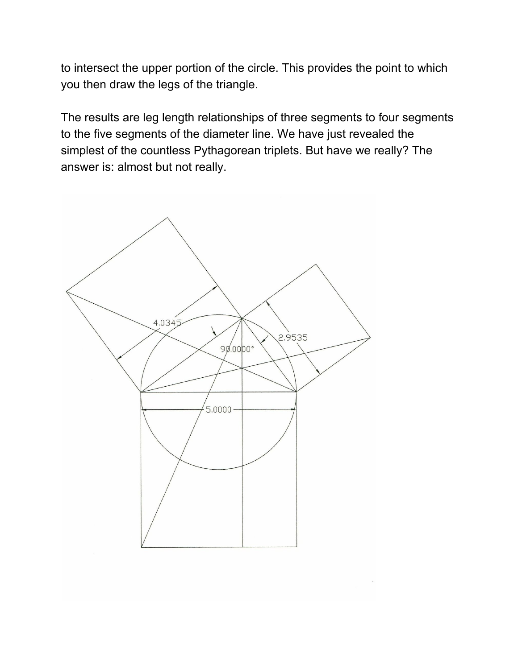to intersect the upper portion of the circle. This provides the point to which you then draw the legs of the triangle.

The results are leg length relationships of three segments to four segments to the five segments of the diameter line. We have just revealed the simplest of the countless Pythagorean triplets. But have we really? The answer is: almost but not really.